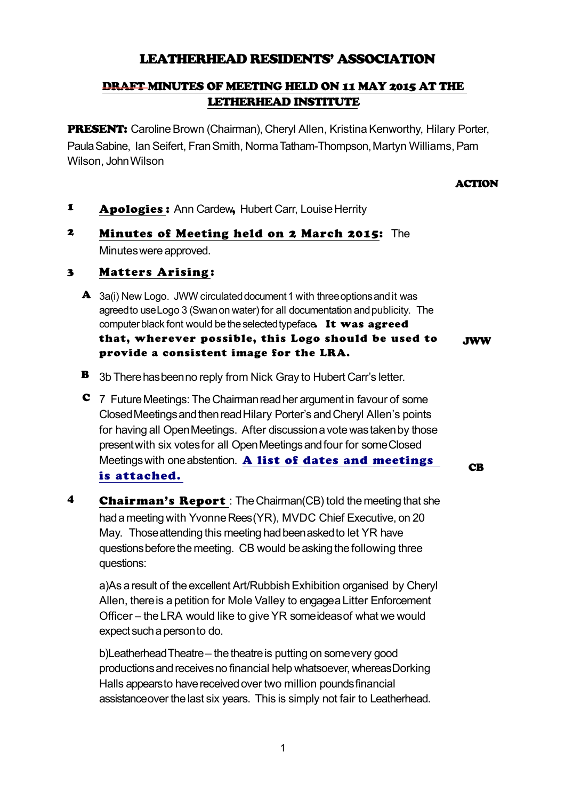# LEATHERHEAD RESIDENTS' ASSOCIATION

## DRAFT MINUTES OF MEETING HELD ON 11 MAY 2015 AT THE LETHERHEAD INSTITUTE

**PRESENT:** Caroline Brown (Chairman), Cheryl Allen, Kristina Kenworthy, Hilary Porter, Paula Sabine, Ian Seifert, Fran Smith, Norma Tatham-Thompson, Martyn Williams, Pam Wilson, John Wilson

#### **ACTION**

**CB** 

- 1 Apologies : Ann Cardew, Hubert Carr, Louise Herrity
- 2 Minutes of Meeting held on 2 March 2015: The Minutes were approved.

### 3 Matters Arising:

- A 3a(i) New Logo. JWW circulated document 1 with three options and it was agreed to use Logo 3 (Swan on water) for all documentation and publicity. The computer black font would be the selected typeface. It was agreed that, wherever possible, this Logo should be used to provide a consistent image for the LRA. JWW
- B 3b There has been no reply from Nick Gray to Hubert Carr's letter.
- C 7 Future Meetings: The Chairman read her argument in favour of some Closed Meetings and then read Hilary Porter's and Cheryl Allen's points for having all Open Meetings. After discussion a vote was taken by those present with six votes for all Open Meetings and four for some Closed Meetings with one abstention. [A list of dates and meetings](http://leatherheadresidents.org.uk/Reports/Meetings_2015-2016.pdf) [is attached.](http://leatherheadresidents.org.uk/Reports/Meetings_2015-2016.pdf)
- **4** Chairman's Report : The Chairman(CB) told the meeting that she had a meeting with Yvonne Rees (YR), MVDC Chief Executive, on 20 May. Those attending this meeting had been asked to let YR have questions before the meeting. CB would be asking the following three questions:

a)As a result of the excellent Art/Rubbish Exhibition organised by Cheryl Allen, there is a petition for Mole Valley to engagea Litter Enforcement Officer – the LRA would like to give YR some ideas of what we would expect such a person to do.

b)Leatherhead Theatre – the theatre is putting on some very good productions and receives no financial help whatsoever, whereas Dorking Halls appears to have received over two million pounds financial assistance over the last six years. This is simply not fair to Leatherhead.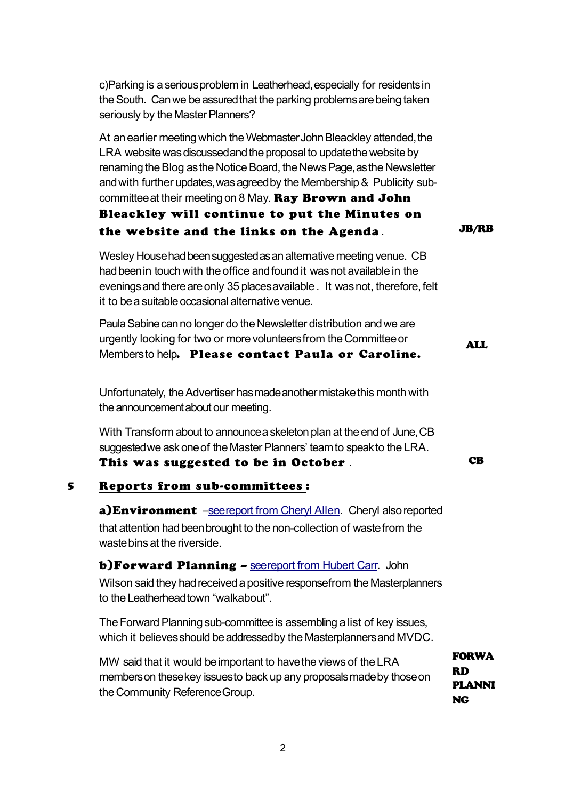c)Parking is a serious problem in Leatherhead, especially for residents in the South. Can we be assured that the parking problems are being taken seriously by the Master Planners?

At an earlier meeting which the Webmaster John Bleackley attended, the LRA website was discussed and the proposal to update the website by renaming the Blog as the Notice Board, the News Page, as the Newsletter and with further updates, was agreed by the Membership & Publicity subcommittee at their meeting on 8 May. Ray Brown and John

# Bleackley will continue to put the Minutes on the website and the links on the Agenda . JB/RB

Wesley House had been suggested as an alternative meeting venue. CB had been in touch with the office and found it was not available in the evenings and there are only 35 places available . It was not, therefore, felt it to be a suitable occasional alternative venue.

Paula Sabine can no longer do the Newsletter distribution and we are urgently looking for two or more volunteers from the Committee or Membersto help. Please contact Paula or Caroline. ALL

Unfortunately, the Advertiser has made another mistake this month with the announcement about our meeting.

With Transform about to announce a skeleton plan at the end of June, CB suggested we ask one of the Master Planners' team to speak to the LRA. This was suggested to be in October . This was suggested to be in October .

#### 5 Reports from sub-committees :

a)Environment -see report from Cheryl Allen. Cheryl also reported that attention had been brought to the non-collection of waste from the waste bins at the riverside.

**b)Forward Planning - [see report from Hubert Carr.](http://leatherheadresidents.org.uk/Reports/FP_May_2015.pdf)** John Wilson said they had received a positive response from the Masterplanners to the Leatherhead town "walkabout".

The Forward Planning sub-committee is assembling a list of key issues, which it believes should be addressed by the Masterplanners and MVDC.

MW said that it would be important to have the views of the LRA members on these key issues to back up any proposals made by those on the Community Reference Group. FORWA RD PLANNI NG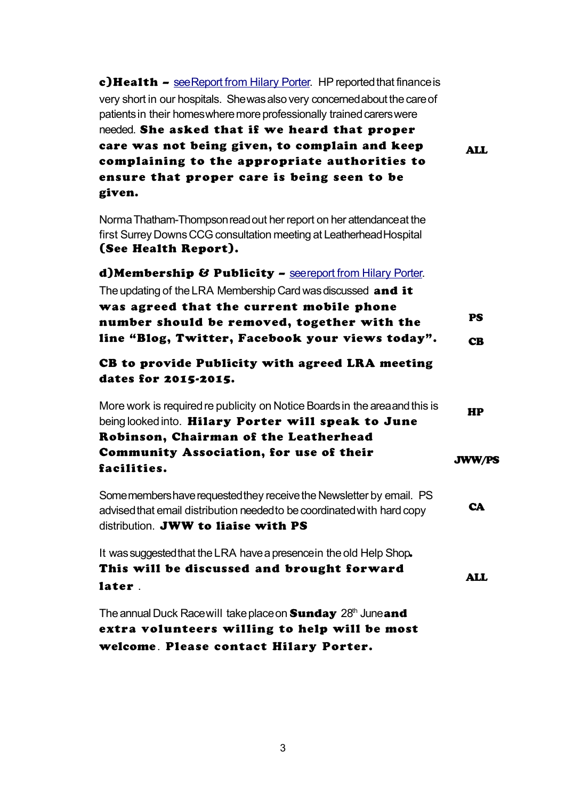| c) Health - see Report from Hilary Porter. HP reported that finance is<br>very short in our hospitals. She was also very concerned about the care of<br>patients in their homes where more professionally trained carers were<br>needed. She asked that if we heard that proper<br>care was not being given, to complain and keep<br>complaining to the appropriate authorities to<br>ensure that proper care is being seen to be<br>given. | <b>ALL</b>             |
|---------------------------------------------------------------------------------------------------------------------------------------------------------------------------------------------------------------------------------------------------------------------------------------------------------------------------------------------------------------------------------------------------------------------------------------------|------------------------|
| Norma Thatham-Thompson read out her report on her attendance at the<br>first Surrey Downs CCG consultation meeting at Leatherhead Hospital<br>(See Health Report).                                                                                                                                                                                                                                                                          |                        |
| d) Membership & Publicity - seereport from Hilary Porter.<br>The updating of the LRA Membership Card was discussed and it<br>was agreed that the current mobile phone<br>number should be removed, together with the<br>line "Blog, Twitter, Facebook your views today".                                                                                                                                                                    | <b>PS</b><br><b>CB</b> |
| CB to provide Publicity with agreed LRA meeting<br>dates for 2015-2015.                                                                                                                                                                                                                                                                                                                                                                     |                        |
| More work is required re publicity on Notice Boards in the area and this is<br>being looked into. Hilary Porter will speak to June<br>Robinson, Chairman of the Leatherhead<br><b>Community Association, for use of their</b><br>facilities.                                                                                                                                                                                                | HP<br><b>JWW/PS</b>    |
| Some members have requested they receive the Newsletter by email. PS<br>advised that email distribution needed to be coordinated with hard copy<br>distribution. JWW to liaise with PS                                                                                                                                                                                                                                                      | <b>CA</b>              |
| It was suggested that the LRA have a presence in the old Help Shop.<br>This will be discussed and brought forward<br>later.                                                                                                                                                                                                                                                                                                                 | ALL                    |
| The annual Duck Race will take place on <b>Sunday</b> 28 <sup>th</sup> June and<br>extra volunteers willing to help will be most<br>welcome. Please contact Hilary Porter.                                                                                                                                                                                                                                                                  |                        |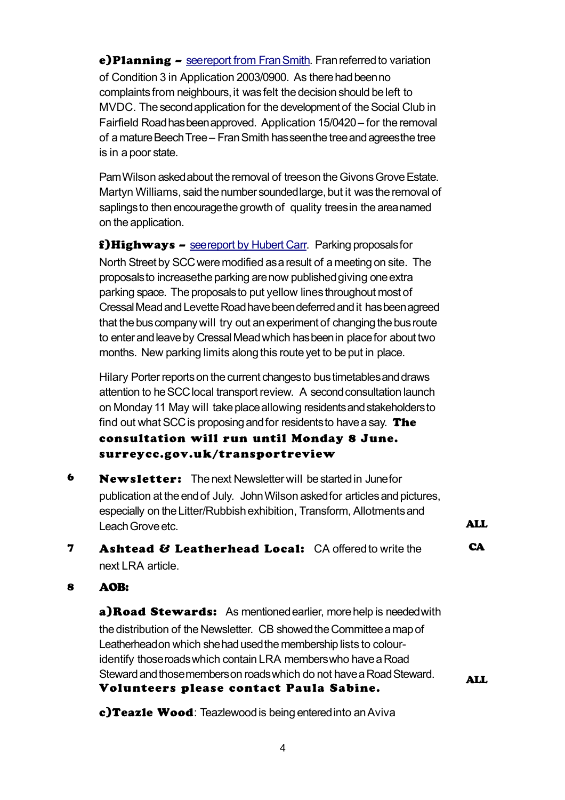e)Planning – [see report from Fran Smith.](http://leatherheadresidents.org.uk/Reports/Planning_May_2015.pdf) Fran referred to variation of Condition 3 in Application 2003/0900. As there had been no complaints from neighbours, it was felt the decision should be left to MVDC. The second application for the development of the Social Club in Fairfield Road has been approved. Application 15/0420 – for the removal of a mature Beech Tree – Fran Smith has seen the tree and agrees the tree is in a poor state.

Pam Wilson asked about the removal of trees on the Givons Grove Estate. Martyn Williams, said the number sounded large, but it was the removal of saplings to then encourage the growth of quality trees in the area named on the application.

f) Highways – [see report by Hubert Carr.](http://leatherheadresidents.org.uk/Reports/Highways_May_2015.pdf) Parking proposals for North Street by SCC were modified as a result of a meeting on site. The proposals to increase the parking are now published giving one extra parking space. The proposals to put yellow lines throughout most of Cressal Mead and Levette Road have been deferred and it has been agreed that the bus company will try out an experiment of changing the bus route to enter and leave by Cressal Mead which has been in place for about two months. New parking limits along this route yet to be put in place.

Hilary Porter reports on the current changes to bus timetables and draws attention to he SCC local transport review. A second consultation launch on Monday 11 May will take place allowing residents and stakeholders to find out what SCC is proposing and for residents to have a say. The consultation will run until Monday 8 June. surreycc.gov.uk/transportreview

- 6 Newsletter: The next Newsletter will be started in June for publication at the end of July. John Wilson asked for articles and pictures, especially on the Litter/Rubbish exhibition, Transform, Allotments and Leach Grove etc. **ALL**
- **7** Ashtead & Leatherhead Local: CA offered to write the next LRA article **CA**

## 8 AOB:

a)Road Stewards: As mentioned earlier, more help is needed with the distribution of the Newsletter. CB showed the Committee a map of Leatherhead on which she had used the membership lists to colouridentify those roads which contain LRA members who have a Road Steward and those members on roads which do not have a Road Steward. Volunteers please contact Paula Sabine. ALL

c)Teazle Wood: Teazlewood is being entered into an Aviva